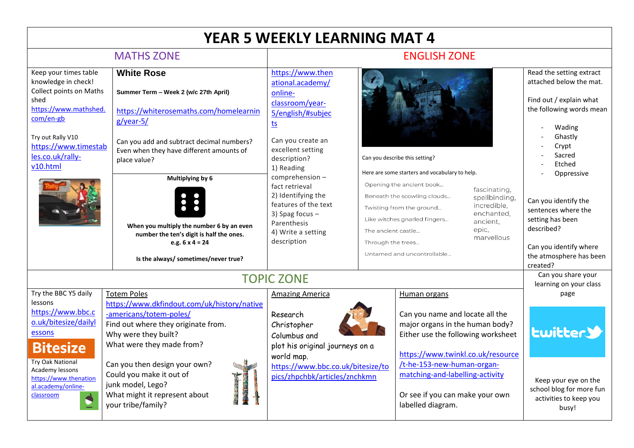| <b>YEAR 5 WEEKLY LEARNING MAT 4</b>                                                                                                                                                                                              |                                                                                                                                                                                                                                                                                                                                   |                                                                                                                                                                                          |                                                                                                                                                                                                                                                                                                                                                                                   |                                                                                                                                                                                  |
|----------------------------------------------------------------------------------------------------------------------------------------------------------------------------------------------------------------------------------|-----------------------------------------------------------------------------------------------------------------------------------------------------------------------------------------------------------------------------------------------------------------------------------------------------------------------------------|------------------------------------------------------------------------------------------------------------------------------------------------------------------------------------------|-----------------------------------------------------------------------------------------------------------------------------------------------------------------------------------------------------------------------------------------------------------------------------------------------------------------------------------------------------------------------------------|----------------------------------------------------------------------------------------------------------------------------------------------------------------------------------|
| <b>MATHS ZONE</b>                                                                                                                                                                                                                |                                                                                                                                                                                                                                                                                                                                   | <b>ENGLISH ZONE</b>                                                                                                                                                                      |                                                                                                                                                                                                                                                                                                                                                                                   |                                                                                                                                                                                  |
| Keep your times table<br>knowledge in check!<br><b>Collect points on Maths</b><br>shed<br>https://www.mathshed.<br>com/en-gb<br>Try out Rally V10<br>https://www.timestab                                                        | <b>White Rose</b><br>Summer Term - Week 2 (w/c 27th April)<br>https://whiterosemaths.com/homelearnin<br>$g/year-5/$<br>Can you add and subtract decimal numbers?<br>Even when they have different amounts of                                                                                                                      | https://www.then<br>ational.academy/<br>online-<br>classroom/year-<br>5/english/#subjec<br><u>ts</u><br>Can you create an<br>excellent setting                                           |                                                                                                                                                                                                                                                                                                                                                                                   | Read the setting extract<br>attached below the mat.<br>Find out / explain what<br>the following words mean<br>Wading<br>Ghastly<br>Crypt                                         |
| les.co.uk/rally-<br>v10.html                                                                                                                                                                                                     | place value?<br>Multiplying by 6<br>When you multiply the number 6 by an even<br>number the ten's digit is half the ones.<br>e.g. $6 \times 4 = 24$<br>Is the always/ sometimes/never true?                                                                                                                                       | description?<br>1) Reading<br>comprehension -<br>fact retrieval<br>2) Identifying the<br>features of the text<br>3) Spag focus -<br>Parenthesis<br>4) Write a setting<br>description     | Can you describe this setting?<br>Here are some starters and vocabulary to help.<br>Opening the ancient book<br>fascinating,<br>Beneath the scowling clouds<br>spellbinding,<br>incredible,<br>Twisting from the ground<br>enchanted,<br>Like witches gnarled fingers<br>ancient,<br>epic,<br>The ancient castle<br>marvellous<br>Through the trees<br>Untamed and uncontrollable | Sacred<br>Etched<br>Oppressive<br>Can you identify the<br>sentences where the<br>setting has been<br>described?<br>Can you identify where<br>the atmosphere has been<br>created? |
| <b>TOPIC ZONE</b>                                                                                                                                                                                                                |                                                                                                                                                                                                                                                                                                                                   |                                                                                                                                                                                          | Can you share your<br>learning on your class                                                                                                                                                                                                                                                                                                                                      |                                                                                                                                                                                  |
| Try the BBC Y5 daily<br>lessons<br>https://www.bbc.c<br>o.uk/bitesize/dailyl<br>essons<br><b>Bitesize</b><br>Try Oak National<br>Academy lessons<br>https://www.thenation<br>al.academy/online-<br>classroom<br>$\blacktriangle$ | <b>Totem Poles</b><br>https://www.dkfindout.com/uk/history/native<br>-americans/totem-poles/<br>Find out where they originate from.<br>Why were they built?<br>What were they made from?<br>Can you then design your own?<br>Could you make it out of<br>junk model, Lego?<br>What might it represent about<br>your tribe/family? | <b>Amazing America</b><br>Research<br>Christopher<br>Columbus and<br>plot his original journeys on a<br>world map.<br>https://www.bbc.co.uk/bitesize/to<br>pics/zhpchbk/articles/znchkmn | Human organs<br>Can you name and locate all the<br>major organs in the human body?<br>Either use the following worksheet<br>https://www.twinkl.co.uk/resource<br>t-he-153-new-human-organ-<br>matching-and-labelling-activity<br>Or see if you can make your own<br>labelled diagram.                                                                                             | page<br><b>Lwitter&gt;</b>                                                                                                                                                       |
|                                                                                                                                                                                                                                  |                                                                                                                                                                                                                                                                                                                                   |                                                                                                                                                                                          |                                                                                                                                                                                                                                                                                                                                                                                   | Keep your eye on the<br>school blog for more fun<br>activities to keep you<br>busy!                                                                                              |